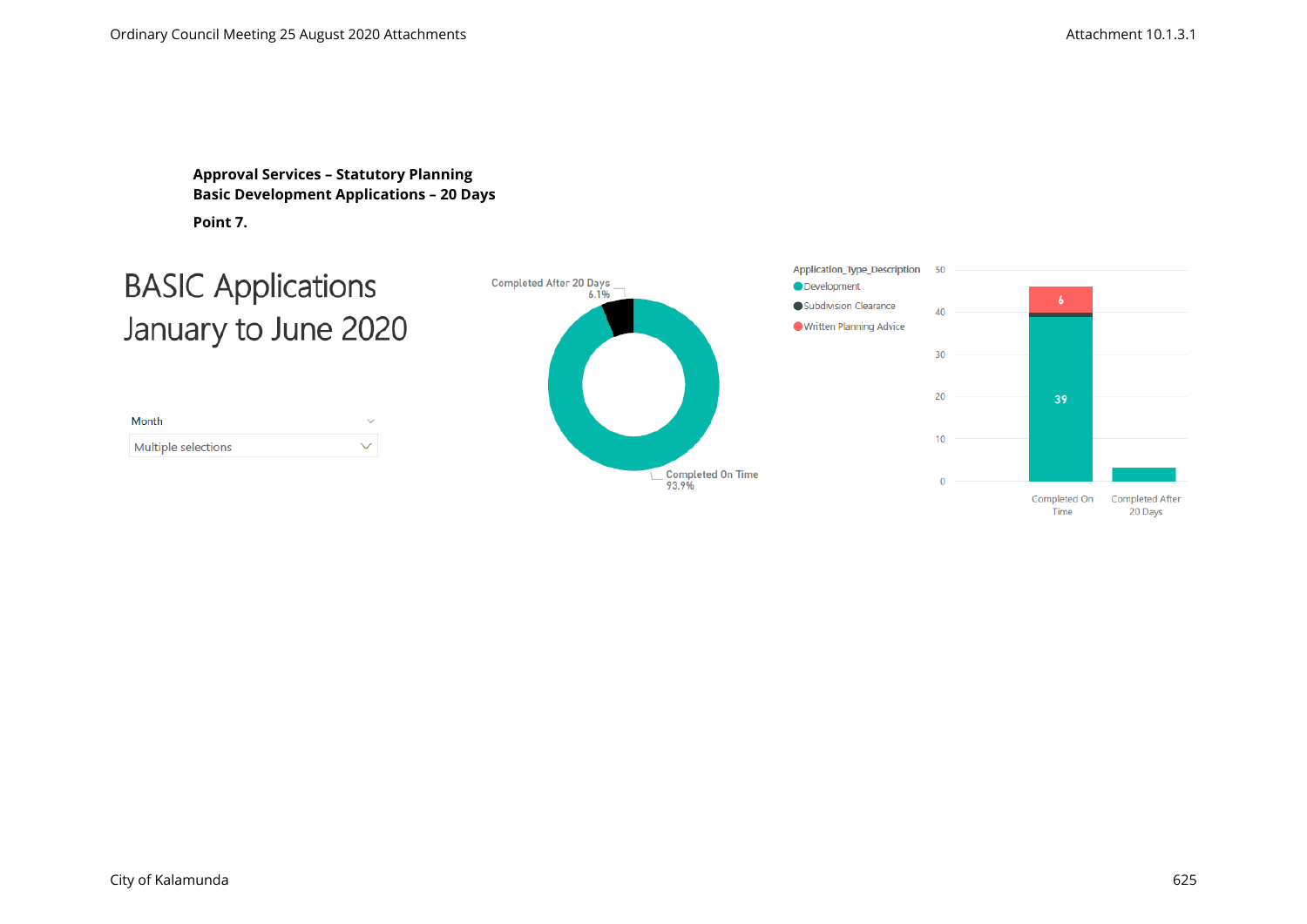**Approval Services – Statutory Planning Basic Development Applications – 20 Days Point 7.** 

## **BASIC Applications** January to June 2020

| Month               |   |
|---------------------|---|
| Multiple selections | ╰ |



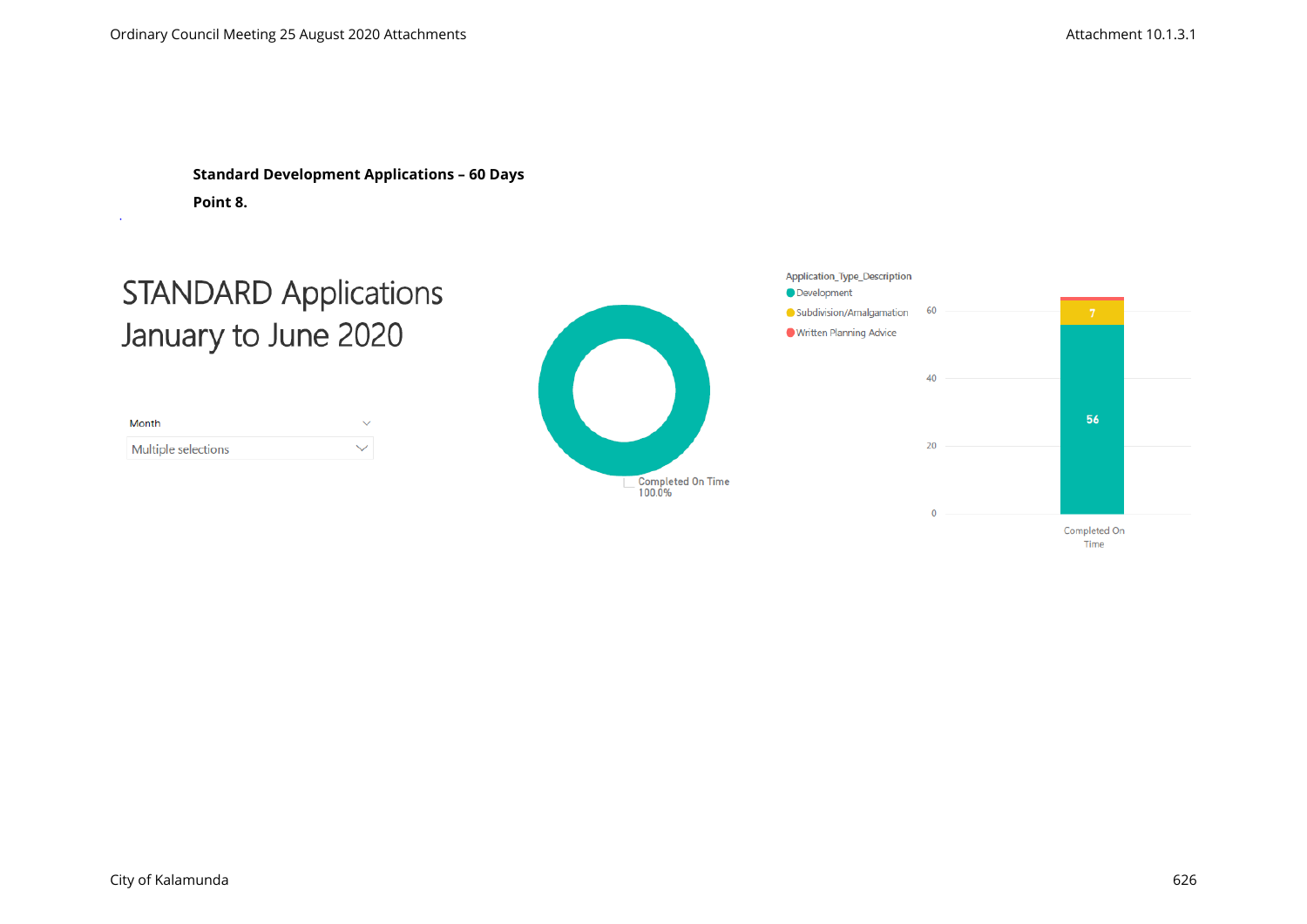**Standard Development Applications – 60 Days Point 8.**

# **STANDARD Applications** January to June 2020

| Month               | $\checkmark$ |
|---------------------|--------------|
| Multiple selections | ╰            |



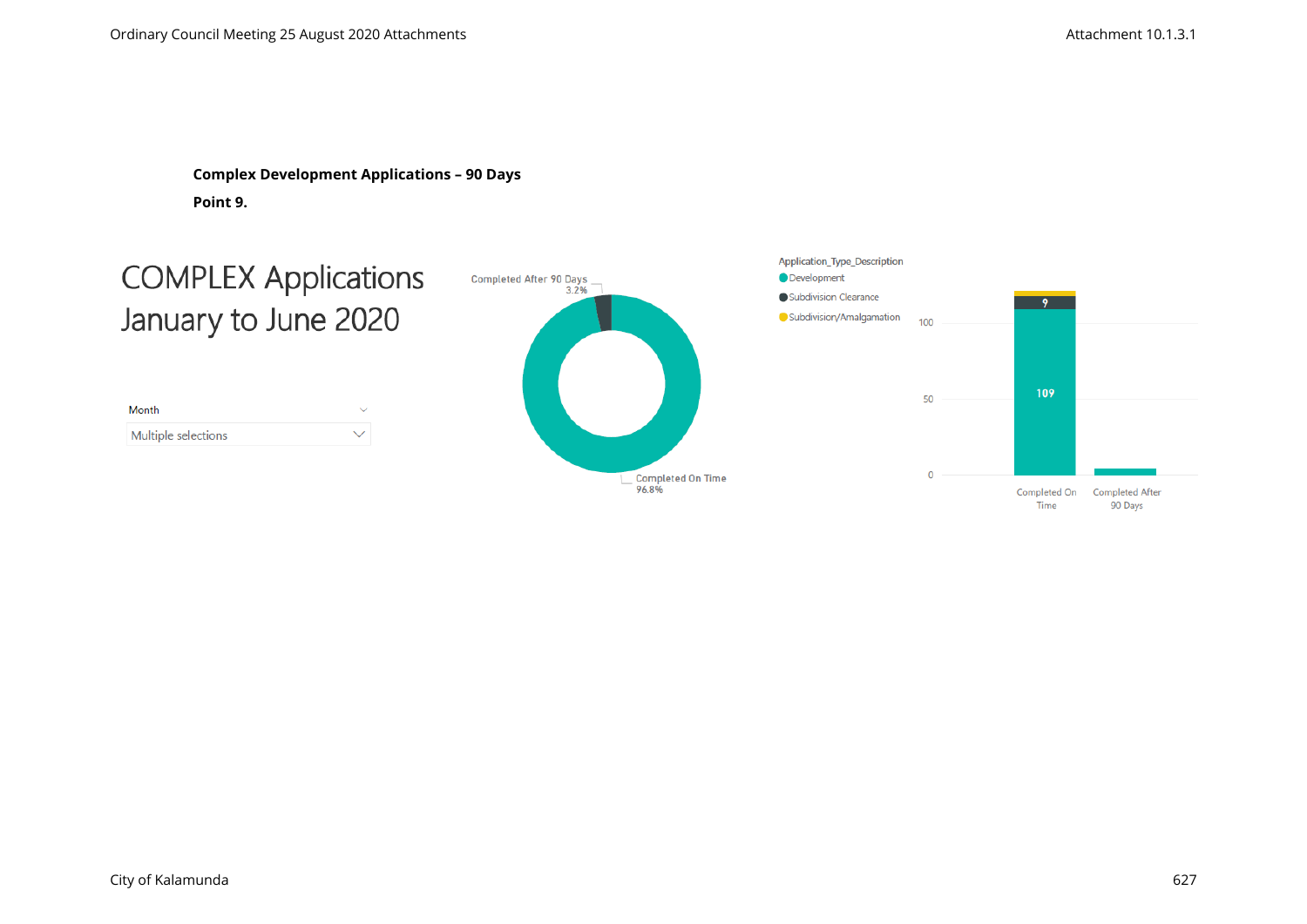**Complex Development Applications – 90 Days Point 9.**

# **COMPLEX Applications** January to June 2020

| Month               |   |
|---------------------|---|
| Multiple selections | ╰ |



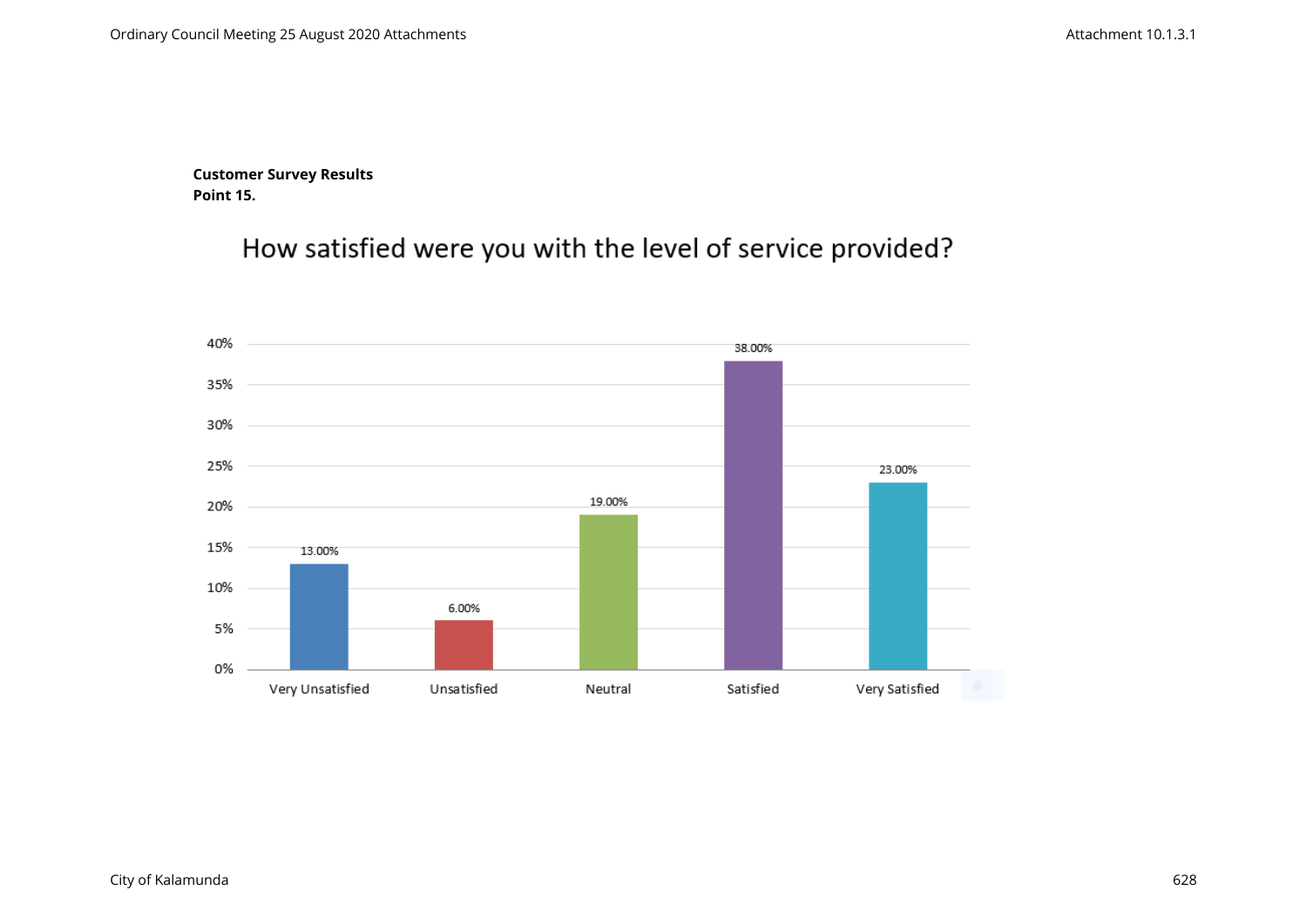**Customer Survey Results Point 15.**

How satisfied were you with the level of service provided?

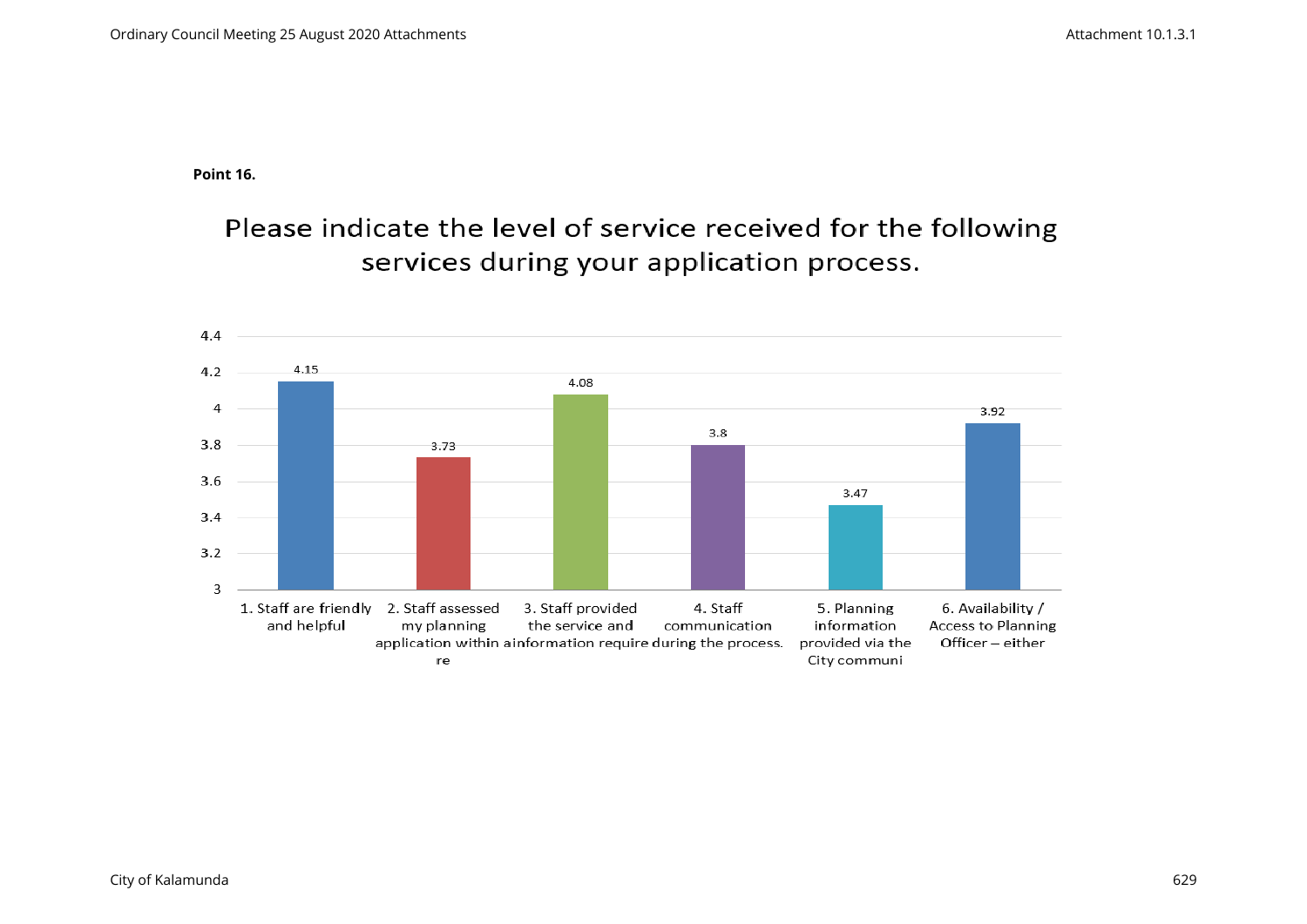**Point 16.**

Please indicate the level of service received for the following services during your application process.

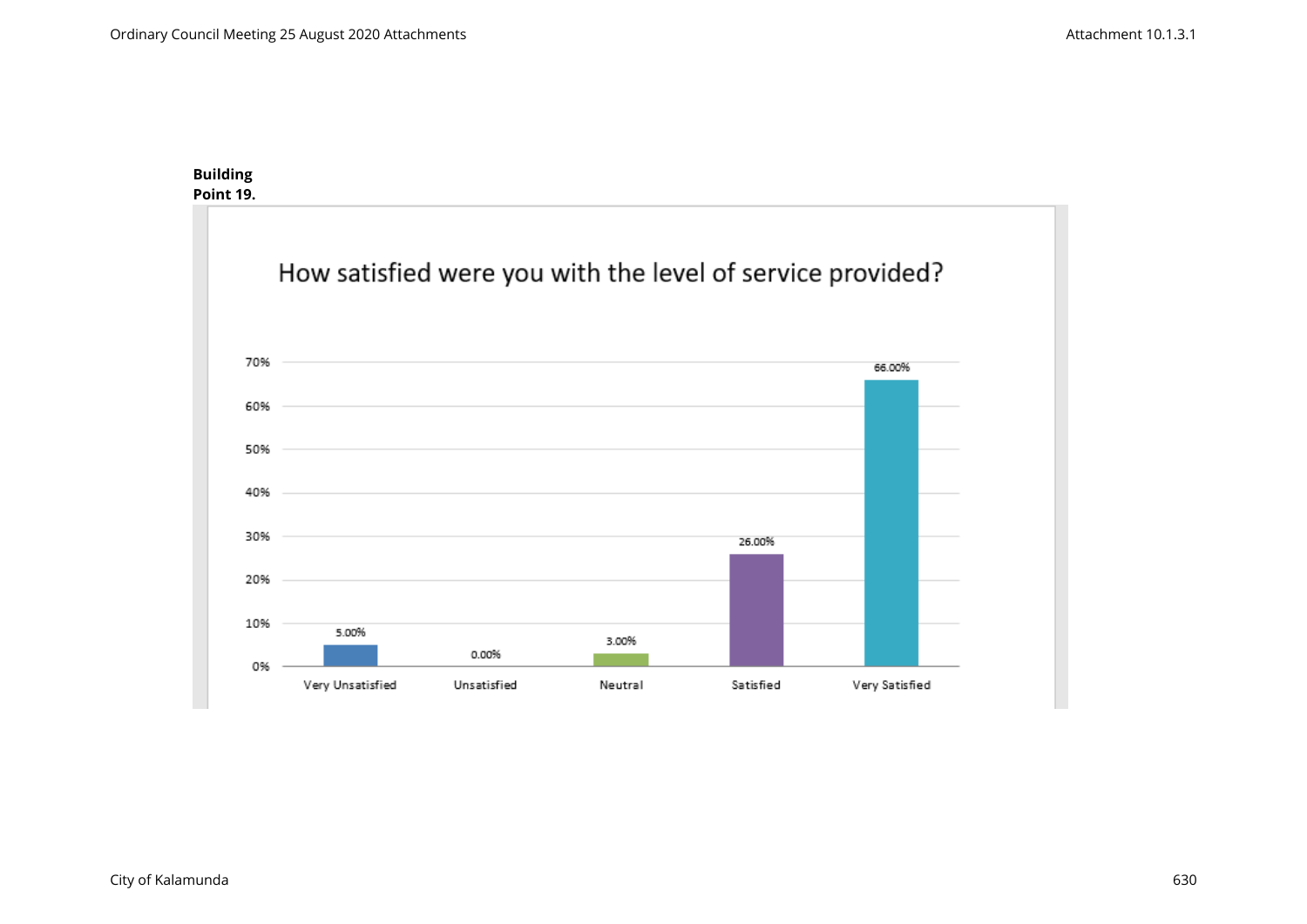#### **Building Point 19.**

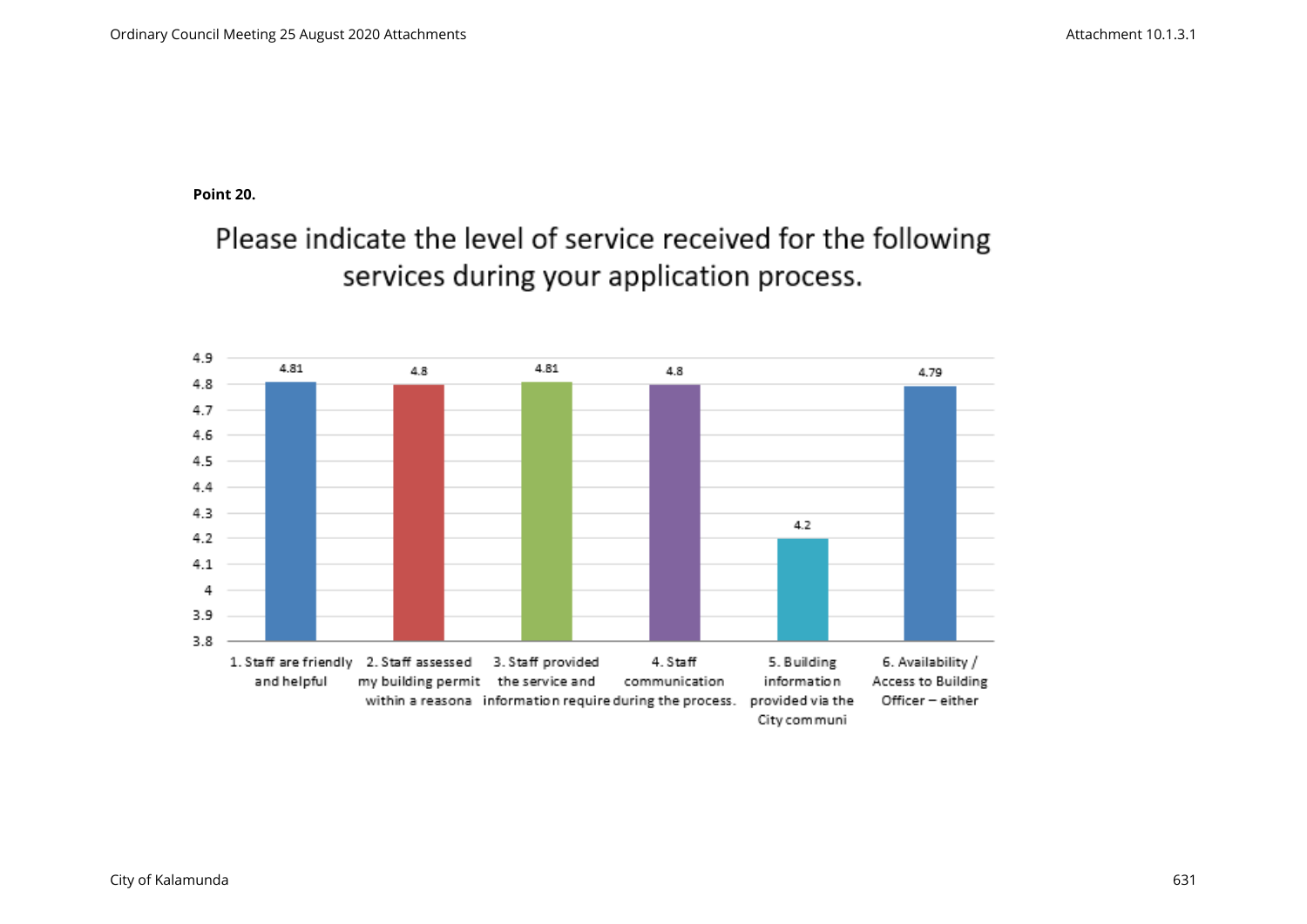**Point 20.** 

Please indicate the level of service received for the following services during your application process.

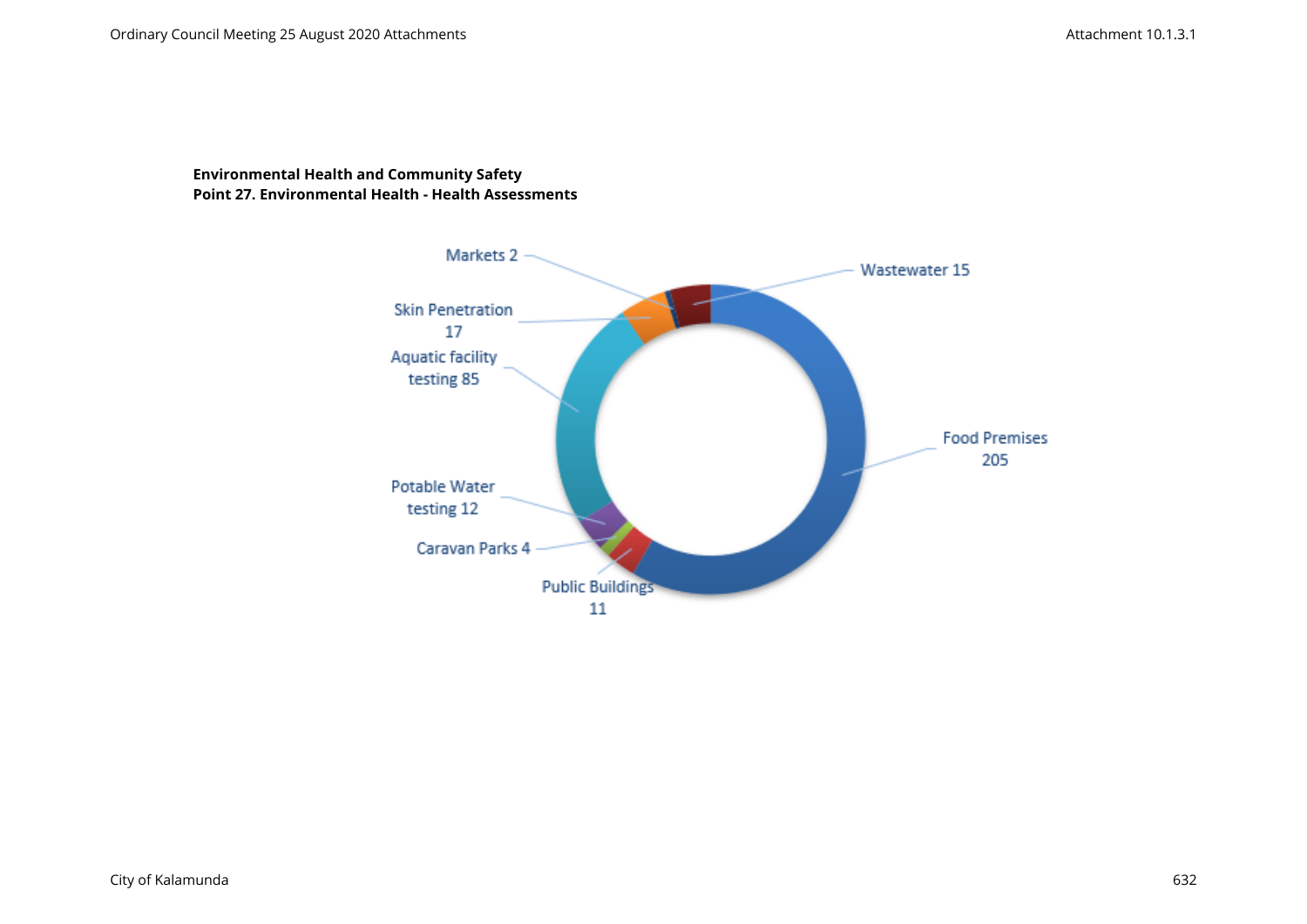### **Environmental Health and Community Safety Point 27. Environmental Health - Health Assessments**

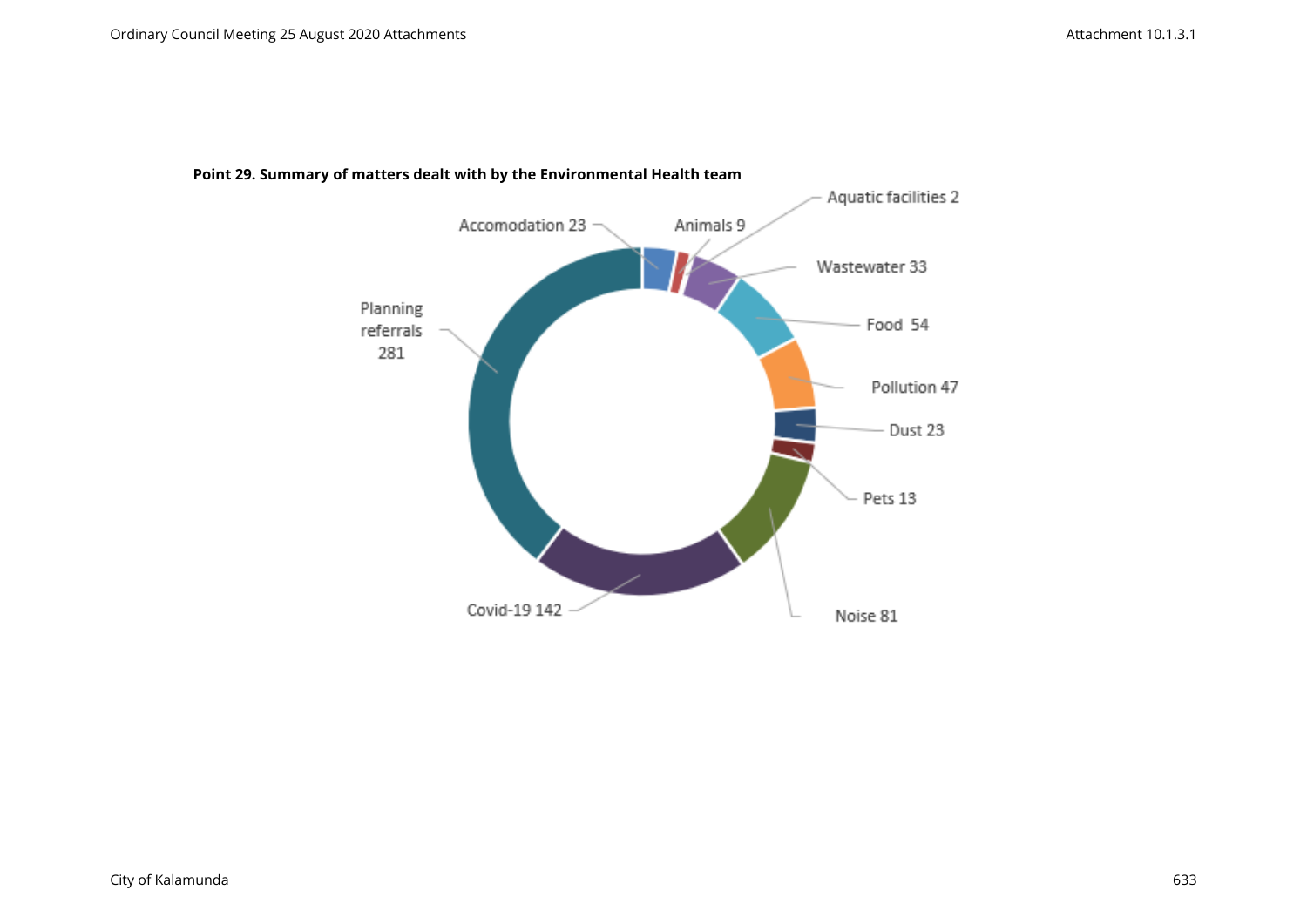

#### **Point 29. Summary of matters dealt with by the Environmental Health team**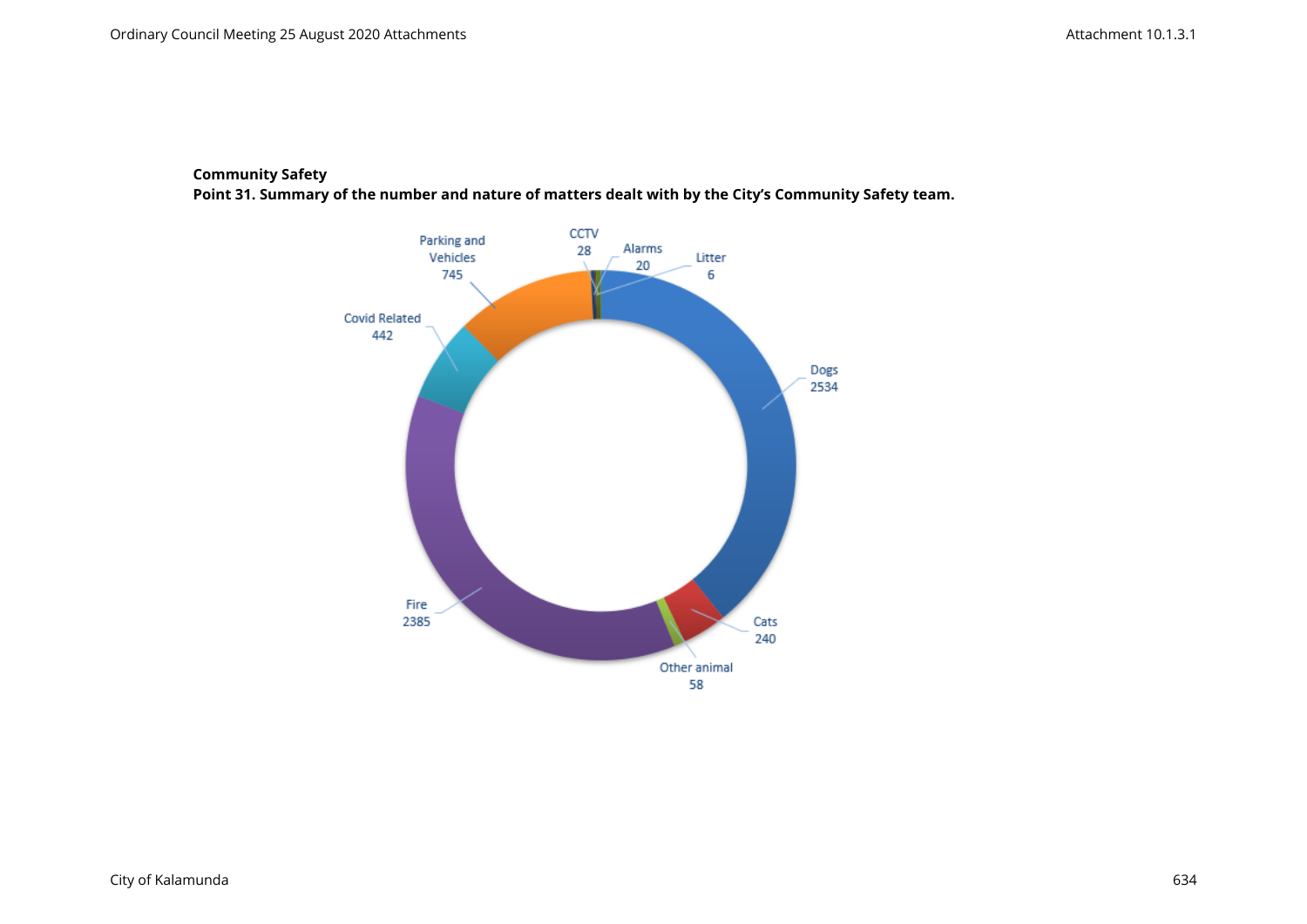#### **Community Safety**

**Point 31. Summary of the number and nature of matters dealt with by the City's Community Safety team.**